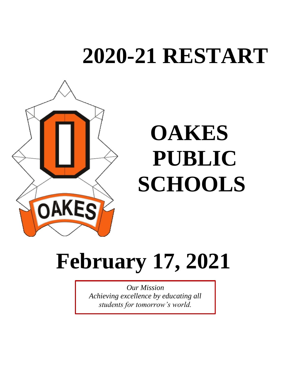# **2020-21 RESTART**



# **February 17, 2021**

*Our Mission Achieving excellence by educating all students for tomorrow's world.*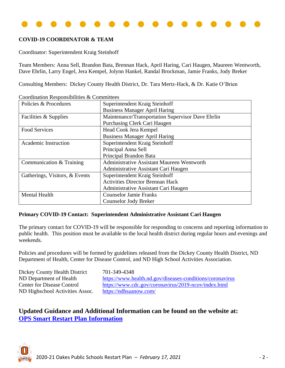

## **COVID-19 COORDINATOR & TEAM**

Coordinator: Superintendent Kraig Steinhoff

Team Members: Anna Sell, Brandon Bata, Brennan Hack, April Haring, Cari Haugen, Maureen Wentworth, Dave Ehrlin, Larry Engel, Jera Kempel, Jolynn Hankel, Randal Brockman, Jamie Franks, Jody Breker

Consulting Members: Dickey County Health District, Dr. Tara Mertz-Hack, & Dr. Katie O'Brien

| $\sim$ coordination Responsibilities $\alpha$ Committees |                                                   |
|----------------------------------------------------------|---------------------------------------------------|
| Policies & Procedures                                    | Superintendent Kraig Steinhoff                    |
|                                                          | <b>Business Manager April Haring</b>              |
| Facilities & Supplies                                    | Maintenance/Transportation Supervisor Dave Ehrlin |
|                                                          | Purchasing Clerk Cari Haugen                      |
| <b>Food Services</b>                                     | Head Cook Jera Kempel                             |
|                                                          | <b>Business Manager April Haring</b>              |
| <b>Academic Instruction</b>                              | Superintendent Kraig Steinhoff                    |
|                                                          | Principal Anna Sell                               |
|                                                          | Principal Brandon Bata                            |
| Communication & Training                                 | <b>Administrative Assistant Maureen Wentworth</b> |
|                                                          | Administrative Assistant Cari Haugen              |
| Gatherings, Visitors, & Events                           | Superintendent Kraig Steinhoff                    |
|                                                          | <b>Activities Director Brennan Hack</b>           |
|                                                          | Administrative Assistant Cari Haugen              |
| <b>Mental Health</b>                                     | <b>Counselor Jamie Franks</b>                     |
|                                                          | <b>Counselor Jody Breker</b>                      |

Coordination Responsibilities & Committees

### **Primary COVID-19 Contact: Superintendent Administrative Assistant Cari Haugen**

The primary contact for COVID-19 will be responsible for responding to concerns and reporting information to public health. This position must be available to the local health district during regular hours and evenings and weekends.

Policies and procedures will be formed by guidelines released from the Dickey County Health District, ND Department of Health, Center for Disease Control, and ND High School Activities Association.

Dickey County Health District 701-349-4348 ND Highschool Activities Assoc. <https://ndhsaanow.com/>

ND Department of Health <https://www.health.nd.gov/diseases-conditions/coronavirus> Center for Disease Control <https://www.cdc.gov/coronavirus/2019-ncov/index.html>

# **Updated Guidance and Additional Information can be found on the website at: [OPS Smart Restart Plan Information](https://www.oakes.k12.nd.us/Page/211)**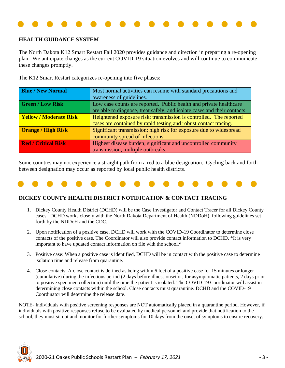

### **HEALTH GUIDANCE SYSTEM**

The North Dakota K12 Smart Restart Fall 2020 provides guidance and direction in preparing a re-opening plan. We anticipate changes as the current COVID-19 situation evolves and will continue to communicate these changes promptly.

The K12 Smart Restart categorizes re-opening into five phases:

| <b>Blue / New Normal</b>      | Most normal activities can resume with standard precautions and           |
|-------------------------------|---------------------------------------------------------------------------|
|                               | awareness of guidelines.                                                  |
| <b>Green / Low Risk</b>       | Low case counts are reported. Public health and private healthcare        |
|                               | are able to diagnose, treat safely, and isolate cases and their contacts. |
| <b>Yellow / Moderate Risk</b> | Heightened exposure risk; transmission is controlled. The reported        |
|                               | cases are contained by rapid testing and robust contact tracing.          |
| <b>Orange / High Risk</b>     | Significant transmission; high risk for exposure due to widespread        |
|                               | community spread of infections.                                           |
| <b>Red / Critical Risk</b>    | Highest disease burden; significant and uncontrolled community            |
|                               | transmission, multiple outbreaks.                                         |

Some counties may not experience a straight path from a red to a blue designation. Cycling back and forth between designation may occur as reported by local public health districts.



### **DICKEY COUNTY HEALTH DISTRICT NOTIFICATION & CONTACT TRACING**

- 1. Dickey County Health District (DCHD) will be the Case Investigator and Contact Tracer for all Dickey County cases. DCHD works closely with the North Dakota Department of Health (NDDoH), following guidelines set forth by the NDDoH and the CDC.
- 2. Upon notification of a positive case, DCHD will work with the COVID-19 Coordinator to determine close contacts of the positive case. The Coordinator will also provide contact information to DCHD. \*It is very important to have updated contact information on file with the school.\*
- 3. Positive case: When a positive case is identified, DCHD will be in contact with the positive case to determine isolation time and release from quarantine.
- 4. Close contacts: A close contact is defined as being within 6 feet of a positive case for 15 minutes or longer (cumulative) during the infectious period (2 days before illness onset or, for asymptomatic patients, 2 days prior to positive specimen collection) until the time the patient is isolated. The COVID-19 Coordinator will assist in determining close contacts within the school. Close contacts must quarantine. DCHD and the COVID-19 Coordinator will determine the release date.

NOTE- Individuals with positive screening responses are NOT automatically placed in a quarantine period. However, if individuals with positive responses refuse to be evaluated by medical personnel and provide that notification to the school, they must sit out and monitor for further symptoms for 10 days from the onset of symptoms to ensure recovery.

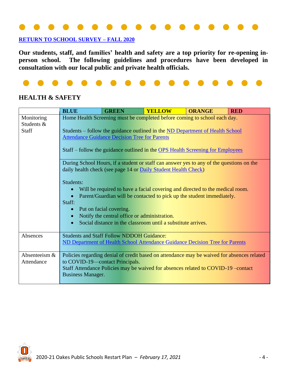# **[RETURN TO SCHOOL SURVEY –](https://www.oakes.k12.nd.us/cms/lib/ND50000694/Centricity/Domain/41/Smart%20Restart%20Survey%20Results%209.28.pdf) FALL 2020**

**Our students, staff, and families' health and safety are a top priority for re-opening inperson school. The following guidelines and procedures have been developed in consultation with our local public and private health officials.**



# **HEALTH & SAFETY**

|                                   | <b>BLUE</b>                                                 | <b>GREEN</b>                                                                                                                                                                                                                                                      | <b>YELLOW</b> | <b>ORANGE</b>                                                                                                                                                                                                                                                                                                                                                                                                                                                                                     | <b>RED</b> |
|-----------------------------------|-------------------------------------------------------------|-------------------------------------------------------------------------------------------------------------------------------------------------------------------------------------------------------------------------------------------------------------------|---------------|---------------------------------------------------------------------------------------------------------------------------------------------------------------------------------------------------------------------------------------------------------------------------------------------------------------------------------------------------------------------------------------------------------------------------------------------------------------------------------------------------|------------|
| Monitoring<br>Students &<br>Staff | Students:<br>Staff:                                         | <b>Attendance Guidance Decision Tree for Parents</b><br>daily health check (see page 14 or Daily Student Health Check)<br>Put on facial covering.<br>Notify the central office or administration.<br>Social distance in the classroom until a substitute arrives. |               | Home Health Screening must be completed before coming to school each day.<br>Students – follow the guidance outlined in the ND Department of Health School<br>Staff – follow the guidance outlined in the OPS Health Screening for Employees<br>During School Hours, if a student or staff can answer yes to any of the questions on the<br>Will be required to have a facial covering and directed to the medical room.<br>Parent/Guardian will be contacted to pick up the student immediately. |            |
| Absences                          |                                                             | <b>Students and Staff Follow NDDOH Guidance:</b>                                                                                                                                                                                                                  |               | ND Department of Health School Attendance Guidance Decision Tree for Parents                                                                                                                                                                                                                                                                                                                                                                                                                      |            |
| Absenteeism &<br>Attendance       | to COVID-19—contact Principals.<br><b>Business Manager.</b> |                                                                                                                                                                                                                                                                   |               | Policies regarding denial of credit based on attendance may be waived for absences related<br>Staff Attendance Policies may be waived for absences related to COVID-19 –contact                                                                                                                                                                                                                                                                                                                   |            |

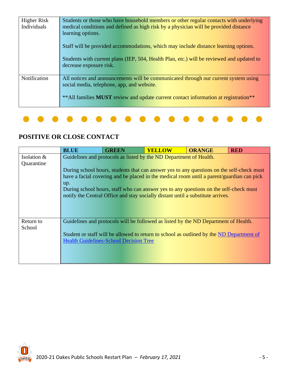| Higher Risk<br>Individuals | Students or those who have household members or other regular contacts with underlying<br>medical conditions and defined as high risk by a physician will be provided distance<br>learning options.                                          |
|----------------------------|----------------------------------------------------------------------------------------------------------------------------------------------------------------------------------------------------------------------------------------------|
|                            | Staff will be provided accommodations, which may include distance learning options.<br>Students with current plans (IEP, 504, Health Plan, etc.) will be reviewed and updated to<br>decrease exposure risk.                                  |
| Notification               | All notices and announcements will be communicated through our current system using<br>social media, telephone, app, and website.<br>** All families <b>MUST</b> review and update current contact information at registration <sup>**</sup> |

# **POSITIVE OR CLOSE CONTACT**

|                              | <b>BLUE</b> | <b>GREEN</b>                                  | <b>YELLOW</b>                                                                                                                                                                                                                                                                                                                                                                                                                            | <b>ORANGE</b> | <b>RED</b> |
|------------------------------|-------------|-----------------------------------------------|------------------------------------------------------------------------------------------------------------------------------------------------------------------------------------------------------------------------------------------------------------------------------------------------------------------------------------------------------------------------------------------------------------------------------------------|---------------|------------|
| Isolation $\&$<br>Quarantine | up.         |                                               | Guidelines and protocols as listed by the ND Department of Health.<br>During school hours, students that can answer yes to any questions on the self-check must<br>have a facial covering and be placed in the medical room until a parent/guardian can pick<br>During school hours, staff who can answer yes to any questions on the self-check must<br>notify the Central Office and stay socially distant until a substitute arrives. |               |            |
| Return to<br>School          |             | <b>Health Guidelines-School Decision Tree</b> | Guidelines and protocols will be followed as listed by the ND Department of Health.<br>Student or staff will be allowed to return to school as outlined by the ND Department of                                                                                                                                                                                                                                                          |               |            |

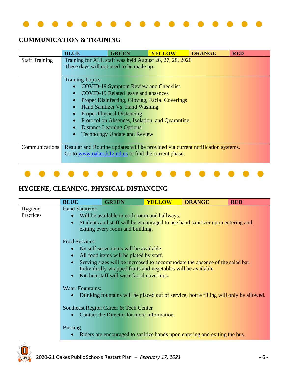

# **COMMUNICATION & TRAINING**

|                       | <b>BLUE</b>                                                                    | <b>GREEN</b>                                   | <b>YELLOW</b>                                   | <b>ORANGE</b> | <b>RED</b> |
|-----------------------|--------------------------------------------------------------------------------|------------------------------------------------|-------------------------------------------------|---------------|------------|
| <b>Staff Training</b> | Training for ALL staff was held August 26, 27, 28, 2020                        |                                                |                                                 |               |            |
|                       | These days will not need to be made up.                                        |                                                |                                                 |               |            |
|                       |                                                                                |                                                |                                                 |               |            |
|                       | <b>Training Topics:</b>                                                        |                                                |                                                 |               |            |
|                       | $\bullet$                                                                      | <b>COVID-19 Symptom Review and Checklist</b>   |                                                 |               |            |
|                       | $\bullet$                                                                      | <b>COVID-19 Related leave and absences</b>     |                                                 |               |            |
|                       |                                                                                | Proper Disinfecting, Gloving, Facial Coverings |                                                 |               |            |
|                       | $\bullet$                                                                      | Hand Sanitizer Vs. Hand Washing                |                                                 |               |            |
|                       |                                                                                | <b>Proper Physical Distancing</b>              |                                                 |               |            |
|                       |                                                                                |                                                | Protocol on Absences, Isolation, and Quarantine |               |            |
|                       |                                                                                | <b>Distance Learning Options</b>               |                                                 |               |            |
|                       |                                                                                | <b>Technology Update and Review</b>            |                                                 |               |            |
|                       |                                                                                |                                                |                                                 |               |            |
| Communications        | Regular and Routine updates will be provided via current notification systems. |                                                |                                                 |               |            |
|                       | Go to www.oakes.k12.nd.us to find the current phase.                           |                                                |                                                 |               |            |
|                       |                                                                                |                                                |                                                 |               |            |



# **HYGIENE, CLEANING, PHYSICAL DISTANCING**

|           | <b>BLUE</b>             | <b>GREEN</b>                                                  | <b>YELLOW</b> | <b>ORANGE</b>                                                                          | <b>RED</b> |
|-----------|-------------------------|---------------------------------------------------------------|---------------|----------------------------------------------------------------------------------------|------------|
| Hygiene   | <b>Hand Sanitizer:</b>  |                                                               |               |                                                                                        |            |
| Practices |                         | Will be available in each room and hallways.                  |               |                                                                                        |            |
|           |                         | exiting every room and building.                              |               | Students and staff will be encouraged to use hand sanitizer upon entering and          |            |
|           | <b>Food Services:</b>   |                                                               |               |                                                                                        |            |
|           |                         | No self-serve items will be available.                        |               |                                                                                        |            |
|           |                         | All food items will be plated by staff.                       |               |                                                                                        |            |
|           |                         |                                                               |               | Serving sizes will be increased to accommodate the absence of the salad bar.           |            |
|           |                         | Individually wrapped fruits and vegetables will be available. |               |                                                                                        |            |
|           |                         | Kitchen staff will wear facial coverings.                     |               |                                                                                        |            |
|           | <b>Water Fountains:</b> |                                                               |               |                                                                                        |            |
|           |                         |                                                               |               | Drinking fountains will be placed out of service; bottle filling will only be allowed. |            |
|           |                         |                                                               |               |                                                                                        |            |
|           |                         | Southeast Region Career & Tech Center                         |               |                                                                                        |            |
|           |                         | Contact the Director for more information.                    |               |                                                                                        |            |
|           |                         |                                                               |               |                                                                                        |            |
|           | <b>Bussing</b>          |                                                               |               |                                                                                        |            |
|           |                         |                                                               |               | Riders are encouraged to sanitize hands upon entering and exiting the bus.             |            |
| ◬         |                         |                                                               |               |                                                                                        |            |

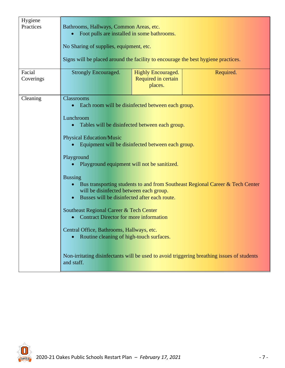| Hygiene<br>Practices | Bathrooms, Hallways, Common Areas, etc.<br>Foot pulls are installed in some bathrooms.<br>No Sharing of supplies, equipment, etc.<br>Signs will be placed around the facility to encourage the best hygiene practices.                                                                                                                                                                                                                                                                                                                                                                              |                                                             |                                                                                                                                                                             |
|----------------------|-----------------------------------------------------------------------------------------------------------------------------------------------------------------------------------------------------------------------------------------------------------------------------------------------------------------------------------------------------------------------------------------------------------------------------------------------------------------------------------------------------------------------------------------------------------------------------------------------------|-------------------------------------------------------------|-----------------------------------------------------------------------------------------------------------------------------------------------------------------------------|
| Facial<br>Coverings  | <b>Strongly Encouraged.</b>                                                                                                                                                                                                                                                                                                                                                                                                                                                                                                                                                                         | <b>Highly Encouraged.</b><br>Required in certain<br>places. | Required.                                                                                                                                                                   |
| Cleaning             | Classrooms<br>Each room will be disinfected between each group.<br>Lunchroom<br>Tables will be disinfected between each group.<br><b>Physical Education/Music</b><br>Equipment will be disinfected between each group.<br>Playground<br>Playground equipment will not be sanitized.<br><b>Bussing</b><br>will be disinfected between each group.<br>Busses will be disinfected after each route.<br>Southeast Regional Career & Tech Center<br><b>Contract Director for more information</b><br>Central Office, Bathrooms, Hallways, etc.<br>Routine cleaning of high-touch surfaces.<br>and staff. |                                                             | Bus transporting students to and from Southeast Regional Career & Tech Center<br>Non-irritating disinfectants will be used to avoid triggering breathing issues of students |

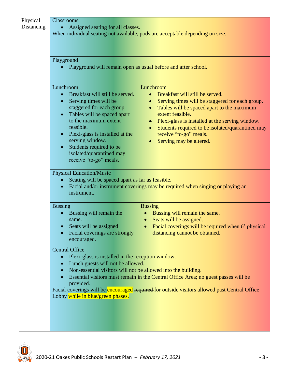| Physical   | <b>Classrooms</b>                                                                       |                                                                                                       |
|------------|-----------------------------------------------------------------------------------------|-------------------------------------------------------------------------------------------------------|
| Distancing | Assigned seating for all classes.                                                       |                                                                                                       |
|            |                                                                                         | When individual seating not available, pods are acceptable depending on size.                         |
|            |                                                                                         |                                                                                                       |
|            | Playground                                                                              |                                                                                                       |
|            |                                                                                         | Playground will remain open as usual before and after school.                                         |
|            | Lunchroom                                                                               | Lunchroom                                                                                             |
|            | Breakfast will still be served.<br>Serving times will be<br>$\bullet$                   | Breakfast will still be served.<br>Serving times will be staggered for each group.<br>$\bullet$       |
|            | staggered for each group.                                                               | Tables will be spaced apart to the maximum<br>$\bullet$                                               |
|            | Tables will be spaced apart<br>$\bullet$                                                | extent feasible.                                                                                      |
|            | to the maximum extent<br>feasible.                                                      | • Plexi-glass is installed at the serving window.<br>Students required to be isolated/quarantined may |
|            | Plexi-glass is installed at the<br>$\bullet$                                            | $\bullet$<br>receive "to-go" meals.                                                                   |
|            | serving window.                                                                         | Serving may be altered.                                                                               |
|            | Students required to be<br>isolated/quarantined may                                     |                                                                                                       |
|            | receive "to-go" meals.                                                                  |                                                                                                       |
|            | <b>Physical Education/Music</b>                                                         |                                                                                                       |
|            | Seating will be spaced apart as far as feasible.<br>$\bullet$<br>instrument.            | Facial and/or instrument coverings may be required when singing or playing an                         |
|            | <b>Bussing</b>                                                                          | <b>Bussing</b>                                                                                        |
|            | Bussing will remain the                                                                 | Bussing will remain the same.                                                                         |
|            | same.<br>Seats will be assigned                                                         | Seats will be assigned.<br>$\bullet$<br>Facial coverings will be required when 6' physical            |
|            | Facial coverings are strongly                                                           | distancing cannot be obtained.                                                                        |
|            | encouraged.                                                                             |                                                                                                       |
|            | <b>Central Office</b><br>Plexi-glass is installed in the reception window.<br>$\bullet$ |                                                                                                       |
|            | Lunch guests will not be allowed.<br>$\bullet$                                          |                                                                                                       |
|            | Non-essential visitors will not be allowed into the building.                           |                                                                                                       |
|            | provided.                                                                               | Essential visitors must remain in the Central Office Area; no guest passes will be                    |
|            |                                                                                         | Facial coverings will be encouraged required for outside visitors allowed past Central Office         |
|            | Lobby while in blue/green phases.                                                       |                                                                                                       |
|            |                                                                                         |                                                                                                       |
|            |                                                                                         |                                                                                                       |
|            |                                                                                         |                                                                                                       |

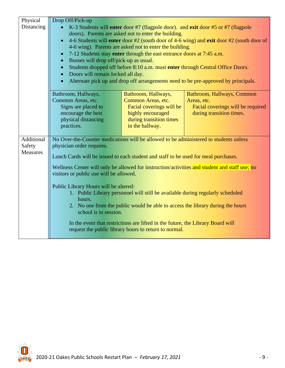| Physical        | Drop Off/Pick-up                                                                      |                                                                                 |                                                                                               |
|-----------------|---------------------------------------------------------------------------------------|---------------------------------------------------------------------------------|-----------------------------------------------------------------------------------------------|
| Distancing      |                                                                                       |                                                                                 | K-3 Students will enter door #7 (flagpole door). and exit door #5 or #7 (flagpole             |
|                 |                                                                                       | doors). Parents are asked not to enter the building.                            |                                                                                               |
|                 | $\bullet$                                                                             | 4-6 wing). Parents are asked not to enter the building.                         | 4-6 Students will enter door #2 (south door of 4-6 wing) and exit door #2 (south door of      |
|                 | $\bullet$                                                                             | 7-12 Students may enter through the east entrance doors at 7:45 a.m.            |                                                                                               |
|                 | Busses will drop off/pick-up as usual.<br>$\bullet$                                   |                                                                                 |                                                                                               |
|                 |                                                                                       |                                                                                 | Students dropped off before 8:10 a.m. must enter through Central Office Doors.                |
|                 | Doors will remain locked all day.                                                     |                                                                                 |                                                                                               |
|                 | $\bullet$                                                                             |                                                                                 | Alternate pick up and drop off arrangements need to be pre-approved by principals.            |
|                 | Bathroom, Hallways,                                                                   | Bathroom, Hallways,                                                             | Bathroom, Hallways, Common                                                                    |
|                 | Common Areas, etc.                                                                    | Common Areas, etc.                                                              | Areas, etc.                                                                                   |
|                 | Signs are placed to<br>encourage the best                                             | Facial coverings will be<br>highly encouraged                                   | Facial coverings will be required<br>during transition times.                                 |
|                 | physical distancing                                                                   | during transition times                                                         |                                                                                               |
|                 | practices.                                                                            | in the hallway.                                                                 |                                                                                               |
|                 |                                                                                       |                                                                                 |                                                                                               |
| Additional      | No Over-the-Counter medications will be allowed to be administered to students unless |                                                                                 |                                                                                               |
| Safety          | physician order requires.                                                             |                                                                                 |                                                                                               |
| <b>Measures</b> | Lunch Cards will be issued to each student and staff to be used for meal purchases.   |                                                                                 |                                                                                               |
|                 |                                                                                       |                                                                                 | Wellness Center will only be allowed for instruction/activities and student and staff use; no |
|                 | visitors or public use will be allowed.                                               |                                                                                 |                                                                                               |
|                 | Public Library Hours will be altered:                                                 |                                                                                 |                                                                                               |
|                 |                                                                                       | 1. Public Library personnel will still be available during regularly scheduled  |                                                                                               |
|                 | hours.                                                                                |                                                                                 |                                                                                               |
|                 |                                                                                       |                                                                                 | 2. No one from the public would be able to access the library during the hours                |
|                 | school is in session.                                                                 |                                                                                 |                                                                                               |
|                 |                                                                                       | In the event that restrictions are lifted in the future, the Library Board will |                                                                                               |
|                 |                                                                                       | request the public library hours to return to normal.                           |                                                                                               |
|                 |                                                                                       |                                                                                 |                                                                                               |

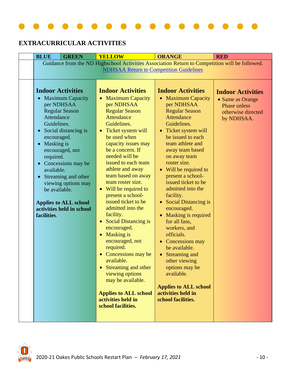

# **EXTRACURRICULAR ACTIVITIES**

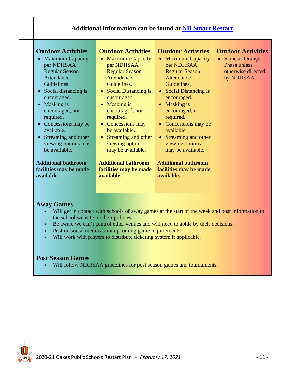| <b>Maximum Capacity</b><br>per NDHSAA<br><b>Regular Season</b><br>Attendance<br>Guidelines.<br>• Social distancing is<br>encouraged.<br>• Masking is<br>encouraged, not<br>required.<br>• Concessions may be<br>available.<br>• Streaming and other<br>viewing options may<br>be available.<br><b>Additional bathroom</b><br>facilities may be made<br>available. | <b>Maximum Capacity</b><br>$\bullet$<br>per NDHSAA<br><b>Regular Season</b><br>Attendance<br>Guidelines.<br>• Social Distancing is<br>encouraged.<br><b>Masking is</b><br>$\bullet$<br>encouraged, not<br>required.<br>• Concessions may<br>be available.<br>• Streaming and other<br>viewing options<br>may be available.<br><b>Additional bathroom</b><br>facilities may be made<br>available. | <b>Maximum Capacity</b><br>per NDHSAA<br><b>Regular Season</b><br>Attendance<br>Guidelines.<br><b>Social Distancing is</b><br>$\bullet$<br>encouraged.<br><b>Masking is</b><br>$\bullet$<br>encouraged, not<br>required.<br>Concessions may be<br>$\bullet$<br>available.<br>• Streaming and other<br>viewing options<br>may be available.<br><b>Additional bathroom</b><br>facilities may be made<br>available. | • Same as Orange<br><b>Phase unless</b><br>otherwise directed<br>by NDHSAA. |
|-------------------------------------------------------------------------------------------------------------------------------------------------------------------------------------------------------------------------------------------------------------------------------------------------------------------------------------------------------------------|--------------------------------------------------------------------------------------------------------------------------------------------------------------------------------------------------------------------------------------------------------------------------------------------------------------------------------------------------------------------------------------------------|------------------------------------------------------------------------------------------------------------------------------------------------------------------------------------------------------------------------------------------------------------------------------------------------------------------------------------------------------------------------------------------------------------------|-----------------------------------------------------------------------------|
|-------------------------------------------------------------------------------------------------------------------------------------------------------------------------------------------------------------------------------------------------------------------------------------------------------------------------------------------------------------------|--------------------------------------------------------------------------------------------------------------------------------------------------------------------------------------------------------------------------------------------------------------------------------------------------------------------------------------------------------------------------------------------------|------------------------------------------------------------------------------------------------------------------------------------------------------------------------------------------------------------------------------------------------------------------------------------------------------------------------------------------------------------------------------------------------------------------|-----------------------------------------------------------------------------|

# **Post Season Games**

• Will follow NDHSAA guidelines for post season games and tournaments.

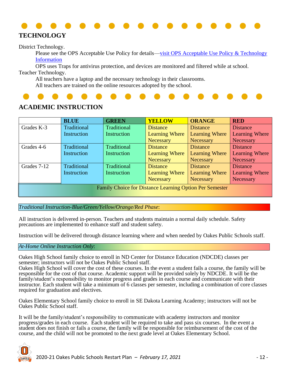

District Technology.

Please see the OPS Acceptable Use Policy for details—visit OPS Acceptable Use Policy & Technology [Information](https://www.oakes.k12.nd.us/site/handlers/filedownload.ashx?moduleinstanceid=218&dataid=64&FileName=AUP_Insurance-20-21.pdf)

OPS uses Traps for antivirus protection, and devices are monitored and filtered while at school. Teacher Technology.

All teachers have a laptop and the necessary technology in their classrooms.

All teachers are trained on the online resources adopted by the school.

# **ACADEMIC INSTRUCTION**

|                                                                | <b>BLUE</b>        | <b>GREEN</b> | <b>YELLOW</b>         | <b>ORANGE</b>         | <b>RED</b>            |  |
|----------------------------------------------------------------|--------------------|--------------|-----------------------|-----------------------|-----------------------|--|
| Grades K-3                                                     | Traditional        | Traditional  | <b>Distance</b>       | <b>Distance</b>       | <b>Distance</b>       |  |
|                                                                | Instruction        | Instruction  | <b>Learning Where</b> | <b>Learning Where</b> | Learning Where        |  |
|                                                                |                    |              | Necessary             | Necessary             | Necessary             |  |
| Grades 4-6                                                     | Traditional        | Traditional  | <b>Distance</b>       | <b>Distance</b>       | <b>Distance</b>       |  |
|                                                                | Instruction        | Instruction  | <b>Learning Where</b> | <b>Learning Where</b> | Learning Where        |  |
|                                                                |                    |              | Necessary             | <b>Necessary</b>      | Necessary             |  |
| Grades 7-12                                                    | <b>Traditional</b> | Traditional  | <b>Distance</b>       | <b>Distance</b>       | <b>Distance</b>       |  |
|                                                                | Instruction        | Instruction  | <b>Learning Where</b> | Learning Where        | <b>Learning Where</b> |  |
|                                                                |                    |              | <b>Necessary</b>      | <b>Necessary</b>      | Necessary             |  |
| <b>Family Choice for Distance Learning Option Per Semester</b> |                    |              |                       |                       |                       |  |

*Traditional Instruction-Blue/Green/Yellow/Orange/Red Phase*:

All instruction is delivered in-person. Teachers and students maintain a normal daily schedule. Safety precautions are implemented to enhance staff and student safety.

Instruction will be delivered through distance learning where and when needed by Oakes Public Schools staff.

### *At-Home Online Instruction Only*:

Oakes High School family choice to enroll in ND Center for Distance Education (NDCDE) classes per semester; instructors will not be Oakes Public School staff.

Oakes High School will cover the cost of these courses. In the event a student fails a course, the family will be responsible for the cost of that course. Academic support will be provided solely by NDCDE. It will be the family/student's responsibility to monitor progress and grades in each course and communicate with their instructor. Each student will take a minimum of 6 classes per semester, including a combination of core classes required for graduation and electives.

Oakes Elementary School family choice to enroll in SE Dakota Learning Academy; instructors will not be Oakes Public School staff.

It will be the family/student's responsibility to communicate with academy instructors and monitor progress/grades in each course. Each student will be required to take and pass six courses. In the event a student does not finish or fails a course, the family will be responsible for reimbursement of the cost of the course, and the child will not be promoted to the next grade level at Oakes Elementary School.

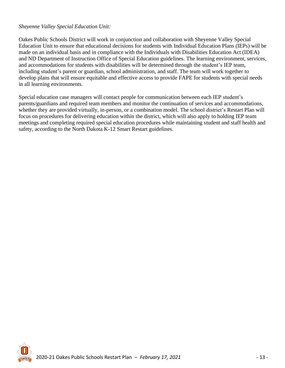## *Sheyenne Valley Special Education Unit:*

Oakes Public Schools District will work in conjunction and collaboration with Sheyenne Valley Special Education Unit to ensure that educational decisions for students with Individual Education Plans (IEPs) will be made on an individual basis and in compliance with the Individuals with Disabilities Education Act (IDEA) and ND Department of Instruction Office of Special Education guidelines. The learning environment, services, and accommodations for students with disabilities will be determined through the student's IEP team, including student's parent or guardian, school administration, and staff. The team will work together to develop plans that will ensure equitable and effective access to provide FAPE for students with special needs in all learning environments.

Special education case managers will contact people for communication between each IEP student's parents/guardians and required team members and monitor the continuation of services and accommodations, whether they are provided virtually, in-person, or a combination model. The school district's Restart Plan will focus on procedures for delivering education within the district, which will also apply to holding IEP team meetings and completing required special education procedures while maintaining student and staff health and safety, according to the North Dakota K-12 Smart Restart guidelines.

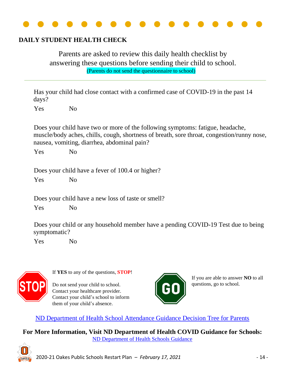

# **DAILY STUDENT HEALTH CHECK**

Parents are asked to review this daily health checklist by answering these questions before sending their child to school. (Parents do not send the questionnaire to school)

Has your child had close contact with a confirmed case of COVID-19 in the past 14 days?

Yes No

Does your child have two or more of the following symptoms: fatigue, headache, muscle/body aches, chills, cough, shortness of breath, sore throat, congestion/runny nose, nausea, vomiting, diarrhea, abdominal pain?

Yes No

Does your child have a fever of 100.4 or higher?

Yes No

Does your child have a new loss of taste or smell?

Yes No

Does your child or any household member have a pending COVID-19 Test due to being symptomatic?

Yes No



If **YES** to any of the questions, **STOP**!

Do not send your child to school. Contact your healthcare provider. Contact your child's school to inform them of your child's absence.



If you are able to answer **NO** to all questions, go to school.

[ND Department of Health School Attendance Guidance Decision Tree for Parents](https://www.health.nd.gov/sites/www/files/documents/Files/MSS/coronavirus/School%20Resources/Decision_Tree_for_School_Parents.pdf)

**For More Information, Visit ND Department of Health COVID Guidance for Schools:** [ND Department of Health Schools Guidance](https://www.health.nd.gov/child-careschoolsuniversities)